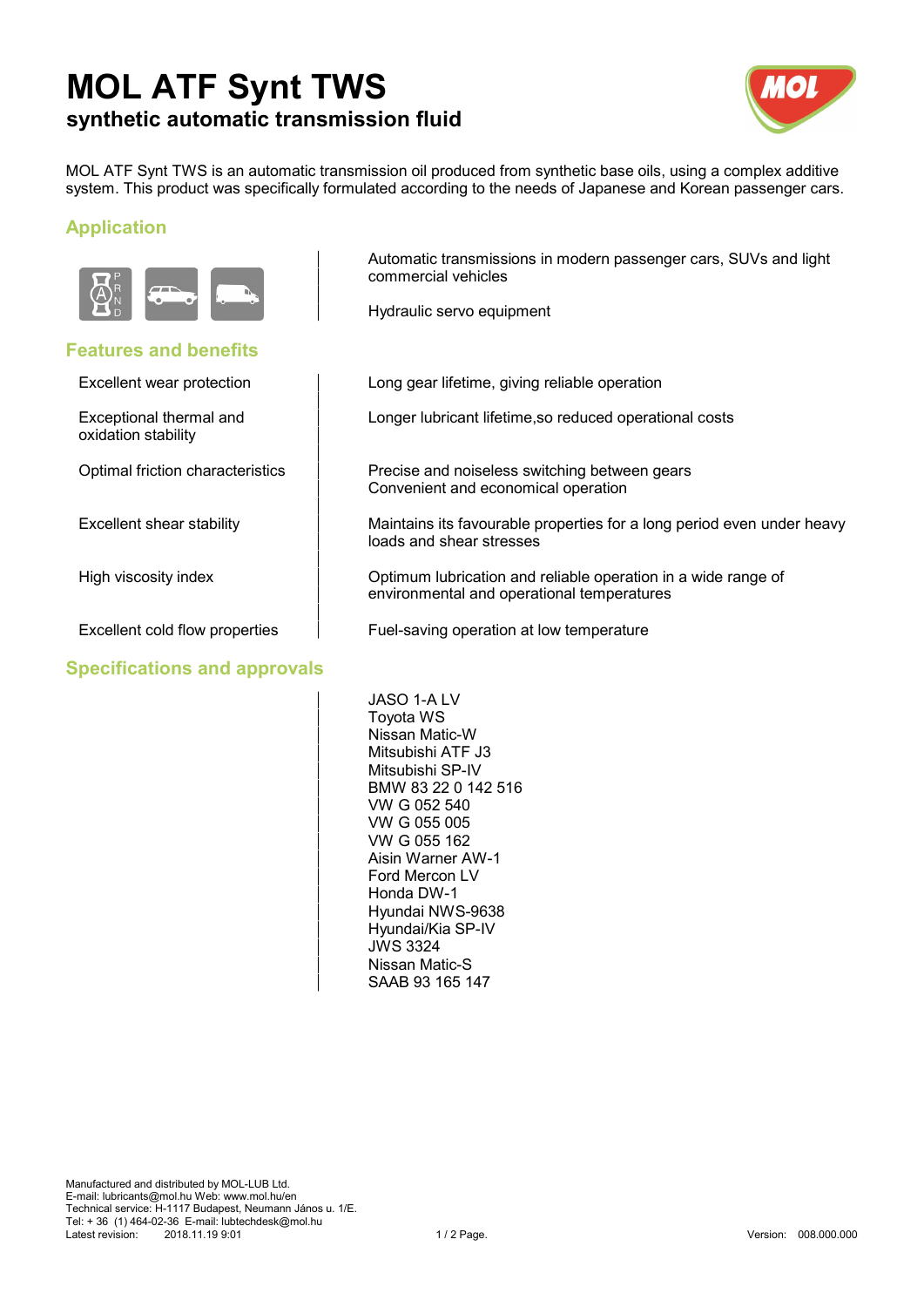# **MOL ATF Synt TWS synthetic automatic transmission fluid**



MOL ATF Synt TWS is an automatic transmission oil produced from synthetic base oils, using a complex additive system. This product was specifically formulated according to the needs of Japanese and Korean passenger cars.

### **Application**



#### **Features and benefits**

oxidation stability

Optimal friction characteristics

Excellent shear stability

High viscosity index

#### **Specifications and approvals**

Automatic transmissions in modern passenger cars, SUVs and light Automatic transmissions in modern passenger cars, SUVs and light commercial vehicles commercial vehicles

Hydraulic servo equipment Hydraulic servo equipment

Excellent wear protection **Excellent** wear protection Long gear lifetime, giving reliable operation

Exceptional thermal and  $\qquad \qquad \qquad \qquad$  Longer lubricant lifetime,so reduced operational costs

Precise and noiseless switching between gears Convenient and economical operation Convenient and economical operation

Maintains its favourable properties for a long period even under heavy loads and shear stresses loads and shear stresses

Optimum lubrication and reliable operation in a wide range of environmental and operational temperatures environmental and operational temperatures

Excellent cold flow properties Fuel-saving operation at low temperature

JASO 1-A LV JASO 1-A LV Toyota WS Toyota WS Nissan Matic-W Nissan Matic-W Mitsubishi ATF J3 Mitsubishi ATF J3 Mitsubishi SP-IV Mitsubishi SP-IV BMW 83 22 0 142 516 BMW 83 22 0 142 516 VW G 052 540 VW G 052 540 VW G 055 005 VW G 055 005 VW G 055 162 VW G 055 162 Aisin Warner AW-1 Aisin Warner AW-1 Ford Mercon LV Ford Mercon LV Honda DW-1 Honda DW-1 Hyundai NWS-9638 Hyundai NWS-9638 Hyundai/Kia SP-IV Hyundai/Kia SP-IV JWS 3324 JWS 3324 Nissan Matic-S Nissan Matic-S SAAB 93 165 147 SAAB 93 165 147